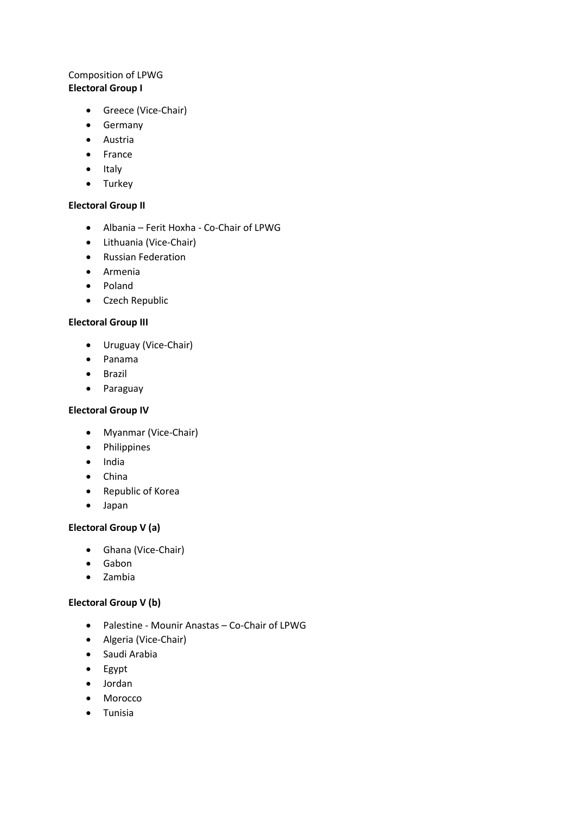# Composition of LPWG **Electoral Group I**

- Greece (Vice-Chair)
- Germany
- Austria
- France
- Italy
- Turkey

## **Electoral Group II**

- Albania Ferit Hoxha Co-Chair of LPWG
- Lithuania (Vice-Chair)
- Russian Federation
- Armenia
- Poland
- Czech Republic

### **Electoral Group III**

- Uruguay (Vice-Chair)
- Panama
- Brazil
- Paraguay

## **Electoral Group IV**

- Myanmar (Vice-Chair)
- Philippines
- India
- China
- Republic of Korea
- Japan

## **Electoral Group V (a)**

- Ghana (Vice-Chair)
- Gabon
- Zambia

### **Electoral Group V (b)**

- Palestine Mounir Anastas Co-Chair of LPWG
- Algeria (Vice-Chair)
- Saudi Arabia
- Egypt
- Jordan
- Morocco
- Tunisia